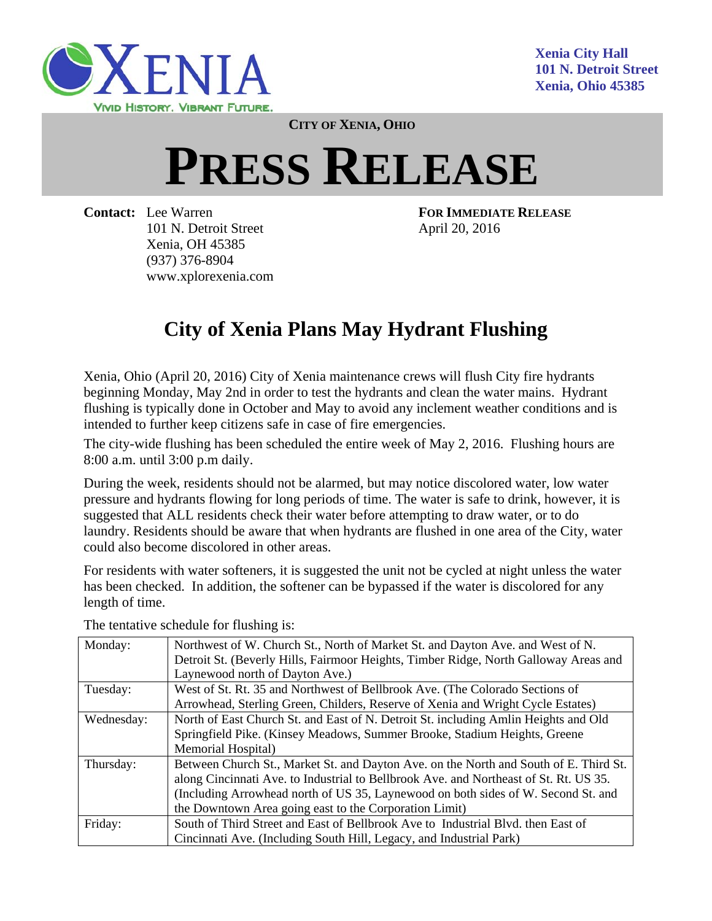

**CITY OF XENIA, OHIO**

## **PRESS RELEASE**

**Contact:** Lee Warren **FOR IMMEDIATE RELEASE** 101 N. Detroit Street April 20, 2016 Xenia, OH 45385 (937) 376-8904 www.xplorexenia.com

## **City of Xenia Plans May Hydrant Flushing**

Xenia, Ohio (April 20, 2016) City of Xenia maintenance crews will flush City fire hydrants beginning Monday, May 2nd in order to test the hydrants and clean the water mains. Hydrant flushing is typically done in October and May to avoid any inclement weather conditions and is intended to further keep citizens safe in case of fire emergencies.

The city-wide flushing has been scheduled the entire week of May 2, 2016. Flushing hours are 8:00 a.m. until 3:00 p.m daily.

During the week, residents should not be alarmed, but may notice discolored water, low water pressure and hydrants flowing for long periods of time. The water is safe to drink, however, it is suggested that ALL residents check their water before attempting to draw water, or to do laundry. Residents should be aware that when hydrants are flushed in one area of the City, water could also become discolored in other areas.

For residents with water softeners, it is suggested the unit not be cycled at night unless the water has been checked. In addition, the softener can be bypassed if the water is discolored for any length of time.

| Monday:    | Northwest of W. Church St., North of Market St. and Dayton Ave. and West of N.        |
|------------|---------------------------------------------------------------------------------------|
|            | Detroit St. (Beverly Hills, Fairmoor Heights, Timber Ridge, North Galloway Areas and  |
|            | Laynewood north of Dayton Ave.)                                                       |
| Tuesday:   | West of St. Rt. 35 and Northwest of Bellbrook Ave. (The Colorado Sections of          |
|            | Arrowhead, Sterling Green, Childers, Reserve of Xenia and Wright Cycle Estates)       |
| Wednesday: | North of East Church St. and East of N. Detroit St. including Amlin Heights and Old   |
|            | Springfield Pike. (Kinsey Meadows, Summer Brooke, Stadium Heights, Greene             |
|            | Memorial Hospital)                                                                    |
| Thursday:  | Between Church St., Market St. and Dayton Ave. on the North and South of E. Third St. |
|            | along Cincinnati Ave. to Industrial to Bellbrook Ave. and Northeast of St. Rt. US 35. |
|            | (Including Arrowhead north of US 35, Laynewood on both sides of W. Second St. and     |
|            | the Downtown Area going east to the Corporation Limit)                                |
| Friday:    | South of Third Street and East of Bellbrook Ave to Industrial Blvd. then East of      |
|            | Cincinnati Ave. (Including South Hill, Legacy, and Industrial Park)                   |
|            |                                                                                       |

The tentative schedule for flushing is: